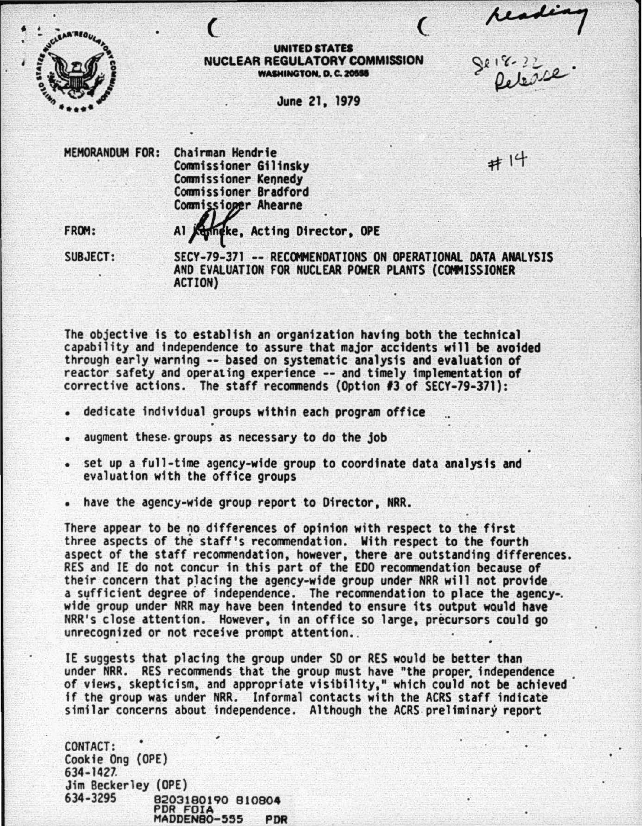readin<br>Se 18-22<br>Se 18-22



## UNITED STATES NUCLEAR REGULATORY COMMISSION **WASHINGTON. D. C. 20555**

June 21, 1979

MEMORANDUM FOR: Chairman Hendrie<br>
Commissioner Gilineby Commissioner Gilinsky<br>Commissioner Kennedy Commissioner Bradford Commissioner Ahearne

..

FROM: Al Keyingke, Acting Director, OPE

SUBJECT: SECY-79-371 -- RECOMMENDATIONS ON OPERATIONAL DATA ANALYSIS AND EVALUATION FOR NUCLEAR POWER PLANTS (COMMISSIONER ACTION)

The objective is to establish an organization having both the technical capability and independence to assure that major accidents will be avoided through early warning -- based on systematic analysis and evaluation of reactor safety and operating experience -- and timely implementation of corrective actions. The staff recommends (Option *13* of SECY-79-371):

- dedicate individual groups within each program office
- augment these groups as necessary to do the job
- set up a full-time agency-wide group to coordinate data analysis and evaluation with the office groups
- have the agency-wide group report to Director, NRR.

There appear to be no differences of opinion with respect to the first three aspects of the staff's recommendation. With respect to the fourth aspect of the staff recommendation, however, there are outstanding differences. RES and IE do not concur in this part of the EOO recommendation because of their concern that placing the agency-wide group under NRR will not provide a syfficient degree of independence. The recommendation to place the agency-. wide group under NRR may have been intended to ensure its output wauld have NRR's close attention. However, in an office so large, precursors could go unrecognized or not receive prompt attention.

IE suggests that placing the group under SO or RES would be better than under NRR. RES recommends that the group must have "the proper independence of views, skepticism, and appropriate visibility," which could not be achieved if the group was under NRR. Informal contacts with the ACRS staff indicate similar concerns about independence. Although the ACRS preliminary report

CONTACT: Cookie Ong (OPE) 634-1427. Jim Beckerley (OPE) 8203180190 810804 PDR FDIA MADDEN80-555 PDR